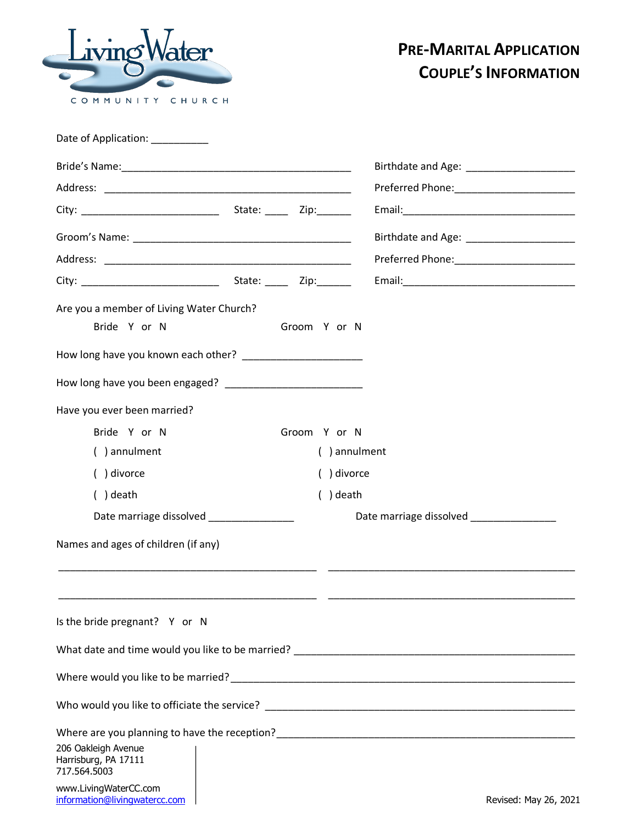

## **PRE-MARITAL APPLICATION COUPLE'S INFORMATION**

| Date of Application: __________                             |  |              |                                             |
|-------------------------------------------------------------|--|--------------|---------------------------------------------|
|                                                             |  |              |                                             |
|                                                             |  |              |                                             |
|                                                             |  |              |                                             |
|                                                             |  |              | Birthdate and Age: ________________________ |
|                                                             |  |              |                                             |
|                                                             |  |              |                                             |
| Are you a member of Living Water Church?                    |  |              |                                             |
| Bride Y or N                                                |  | Groom Y or N |                                             |
| How long have you known each other? _______________________ |  |              |                                             |
|                                                             |  |              |                                             |
| Have you ever been married?                                 |  |              |                                             |
| Bride Y or N                                                |  | Groom Y or N |                                             |
| () annulment                                                |  | () annulment |                                             |
| () divorce                                                  |  | () divorce   |                                             |
| $( )$ death                                                 |  | $( )$ death  |                                             |
| Date marriage dissolved ________________                    |  |              | Date marriage dissolved ________________    |
| Names and ages of children (if any)                         |  |              |                                             |
|                                                             |  |              |                                             |
|                                                             |  |              |                                             |
| Is the bride pregnant? Y or N                               |  |              |                                             |
|                                                             |  |              |                                             |
|                                                             |  |              |                                             |
|                                                             |  |              |                                             |
|                                                             |  |              |                                             |
| 206 Oakleigh Avenue<br>Harrisburg, PA 17111<br>717.564.5003 |  |              |                                             |
| www.LivingWaterCC.com                                       |  |              |                                             |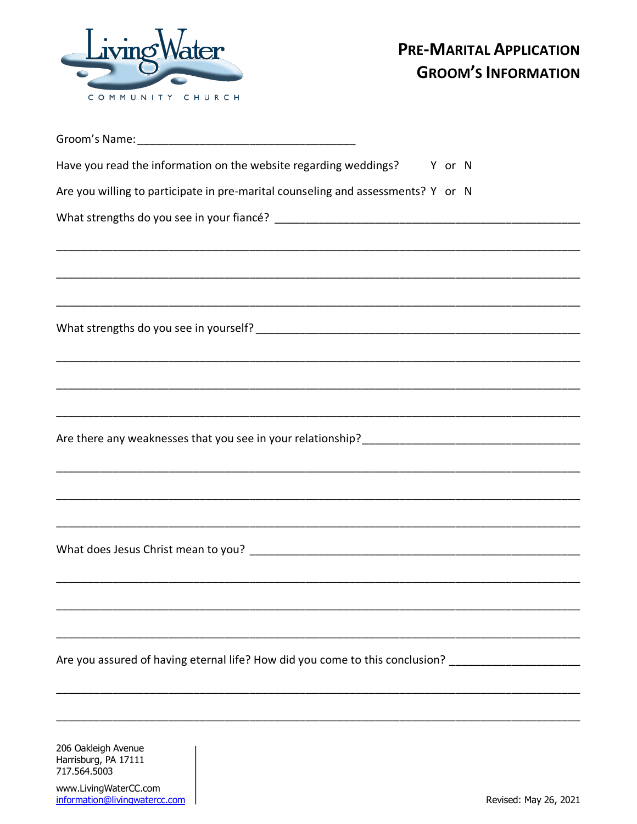

| Have you read the information on the website regarding weddings? Y or N                                                                                              |
|----------------------------------------------------------------------------------------------------------------------------------------------------------------------|
| Are you willing to participate in pre-marital counseling and assessments? Y or N                                                                                     |
| <u> 1989 - Johann Stoff, deutscher Stoff, der Stoff, der Stoff, der Stoff, der Stoff, der Stoff, der Stoff, der S</u>                                                |
|                                                                                                                                                                      |
|                                                                                                                                                                      |
|                                                                                                                                                                      |
|                                                                                                                                                                      |
| ,我们就会在这里的人,我们就会在这里的人,我们就会在这里的人,我们就会在这里,我们就会在这里,我们就会在这里的人,我们就会在这里,我们就会在这里的人,我们就会在<br>第251章 我们的人,我们就会在这里,我们就会在这里,我们就会在这里,我们就会在这里,我们就会在这里,我们就会在这里,我们就会在这里,我们就会在这里,我们就会在 |
|                                                                                                                                                                      |
|                                                                                                                                                                      |
| Are you assured of having eternal life? How did you come to this conclusion? ______________________                                                                  |
|                                                                                                                                                                      |

206 Oakleigh Avenue Harrisburg, PA 17111 717.564.5003

www.LivingWaterCC.com<br>information@livingwatercc.com